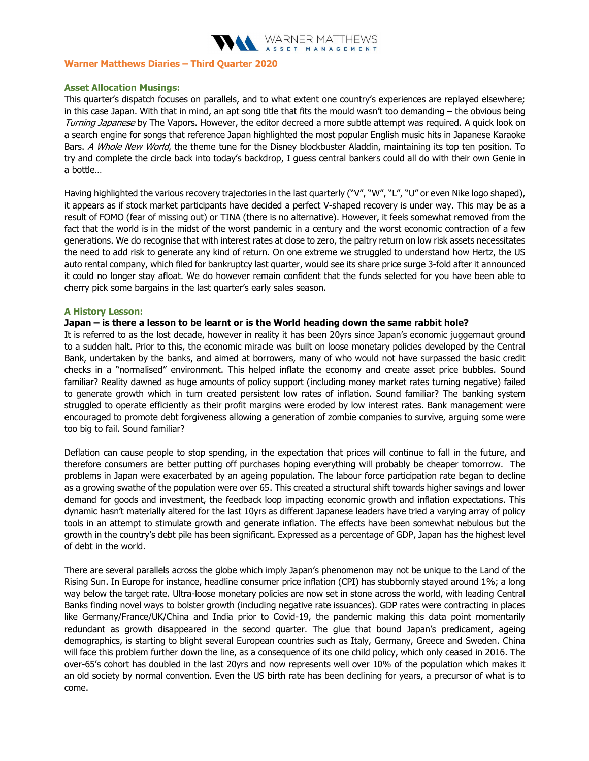

# Warner Matthews Diaries – Third Quarter 2020

#### Asset Allocation Musings:

This quarter's dispatch focuses on parallels, and to what extent one country's experiences are replayed elsewhere; in this case Japan. With that in mind, an apt song title that fits the mould wasn't too demanding – the obvious being Turning Japanese by The Vapors. However, the editor decreed a more subtle attempt was required. A quick look on a search engine for songs that reference Japan highlighted the most popular English music hits in Japanese Karaoke Bars. A Whole New World, the theme tune for the Disney blockbuster Aladdin, maintaining its top ten position. To try and complete the circle back into today's backdrop, I guess central bankers could all do with their own Genie in a bottle…

Having highlighted the various recovery trajectories in the last quarterly ("V", "W", "L", "U" or even Nike logo shaped), it appears as if stock market participants have decided a perfect V-shaped recovery is under way. This may be as a result of FOMO (fear of missing out) or TINA (there is no alternative). However, it feels somewhat removed from the fact that the world is in the midst of the worst pandemic in a century and the worst economic contraction of a few generations. We do recognise that with interest rates at close to zero, the paltry return on low risk assets necessitates the need to add risk to generate any kind of return. On one extreme we struggled to understand how Hertz, the US auto rental company, which filed for bankruptcy last quarter, would see its share price surge 3-fold after it announced it could no longer stay afloat. We do however remain confident that the funds selected for you have been able to cherry pick some bargains in the last quarter's early sales season.

#### A History Lesson:

# Japan – is there a lesson to be learnt or is the World heading down the same rabbit hole?

It is referred to as the lost decade, however in reality it has been 20yrs since Japan's economic juggernaut ground to a sudden halt. Prior to this, the economic miracle was built on loose monetary policies developed by the Central Bank, undertaken by the banks, and aimed at borrowers, many of who would not have surpassed the basic credit checks in a "normalised" environment. This helped inflate the economy and create asset price bubbles. Sound familiar? Reality dawned as huge amounts of policy support (including money market rates turning negative) failed to generate growth which in turn created persistent low rates of inflation. Sound familiar? The banking system struggled to operate efficiently as their profit margins were eroded by low interest rates. Bank management were encouraged to promote debt forgiveness allowing a generation of zombie companies to survive, arguing some were too big to fail. Sound familiar?

Deflation can cause people to stop spending, in the expectation that prices will continue to fall in the future, and therefore consumers are better putting off purchases hoping everything will probably be cheaper tomorrow. The problems in Japan were exacerbated by an ageing population. The labour force participation rate began to decline as a growing swathe of the population were over 65. This created a structural shift towards higher savings and lower demand for goods and investment, the feedback loop impacting economic growth and inflation expectations. This dynamic hasn't materially altered for the last 10yrs as different Japanese leaders have tried a varying array of policy tools in an attempt to stimulate growth and generate inflation. The effects have been somewhat nebulous but the growth in the country's debt pile has been significant. Expressed as a percentage of GDP, Japan has the highest level of debt in the world.

There are several parallels across the globe which imply Japan's phenomenon may not be unique to the Land of the Rising Sun. In Europe for instance, headline consumer price inflation (CPI) has stubbornly stayed around 1%; a long way below the target rate. Ultra-loose monetary policies are now set in stone across the world, with leading Central Banks finding novel ways to bolster growth (including negative rate issuances). GDP rates were contracting in places like Germany/France/UK/China and India prior to Covid-19, the pandemic making this data point momentarily redundant as growth disappeared in the second quarter. The glue that bound Japan's predicament, ageing demographics, is starting to blight several European countries such as Italy, Germany, Greece and Sweden. China will face this problem further down the line, as a consequence of its one child policy, which only ceased in 2016. The over-65's cohort has doubled in the last 20yrs and now represents well over 10% of the population which makes it an old society by normal convention. Even the US birth rate has been declining for years, a precursor of what is to come.